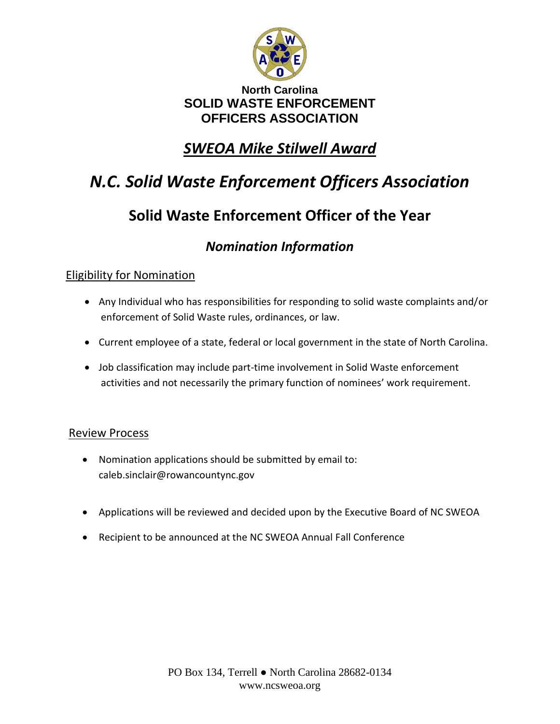

#### **North Carolina SOLID WASTE ENFORCEMENT OFFICERS ASSOCIATION**

## *SWEOA Mike Stilwell Award*

# *N.C. Solid Waste Enforcement Officers Association*

## **Solid Waste Enforcement Officer of the Year**

### *Nomination Information*

#### Eligibility for Nomination

- Any Individual who has responsibilities for responding to solid waste complaints and/or enforcement of Solid Waste rules, ordinances, or law.
- Current employee of a state, federal or local government in the state of North Carolina.
- Job classification may include part-time involvement in Solid Waste enforcement activities and not necessarily the primary function of nominees' work requirement.

#### Review Process

- Nomination applications should be submitted by email to: caleb.sinclair@rowancountync.gov
- Applications will be reviewed and decided upon by the Executive Board of NC SWEOA
- Recipient to be announced at the NC SWEOA Annual Fall Conference